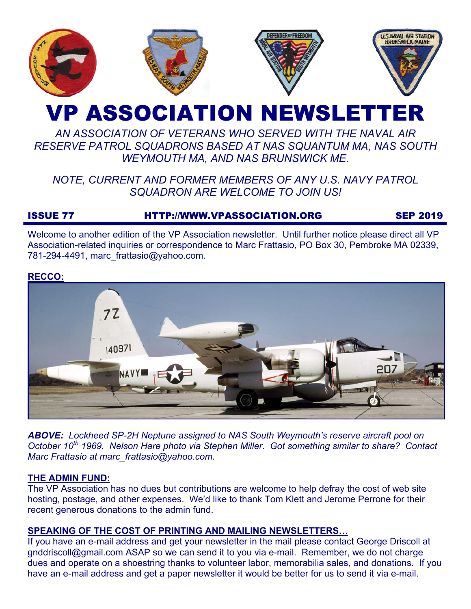

# VP ASSOCIATION NEWSLETTER

# *AN ASSOCIATION OF VETERANS WHO SERVED WITH THE NAVAL AIR RESERVE PATROL SQUADRONS BASED AT NAS SQUANTUM MA, NAS SOUTH WEYMOUTH MA, AND NAS BRUNSWICK ME.*

# *NOTE, CURRENT AND FORMER MEMBERS OF ANY U.S. NAVY PATROL SQUADRON ARE WELCOME TO JOIN US!*

# ISSUE 77 HTTP://WWW.VPASSOCIATION.ORG SEP 2019

Welcome to another edition of the VP Association newsletter. Until further notice please direct all VP Association-related inquiries or correspondence to Marc Frattasio, PO Box 30, Pembroke MA 02339, 781-294-4491, marc\_frattasio@yahoo.com.

#### **RECCO:**



*ABOVE: Lockheed SP-2H Neptune assigned to NAS South Weymouth's reserve aircraft pool on October 10<sup>th</sup> 1969. Nelson Hare photo via Stephen Miller. Got something similar to share? Contact Marc Frattasio at marc\_frattasio@yahoo.com.* 

#### **THE ADMIN FUND:**

The VP Association has no dues but contributions are welcome to help defray the cost of web site hosting, postage, and other expenses. We'd like to thank Tom Klett and Jerome Perrone for their recent generous donations to the admin fund.

#### **SPEAKING OF THE COST OF PRINTING AND MAILING NEWSLETTERS…**

If you have an e-mail address and get your newsletter in the mail please contact George Driscoll at gnddriscoll@gmail.com ASAP so we can send it to you via e-mail. Remember, we do not charge dues and operate on a shoestring thanks to volunteer labor, memorabilia sales, and donations. If you have an e-mail address and get a paper newsletter it would be better for us to send it via e-mail.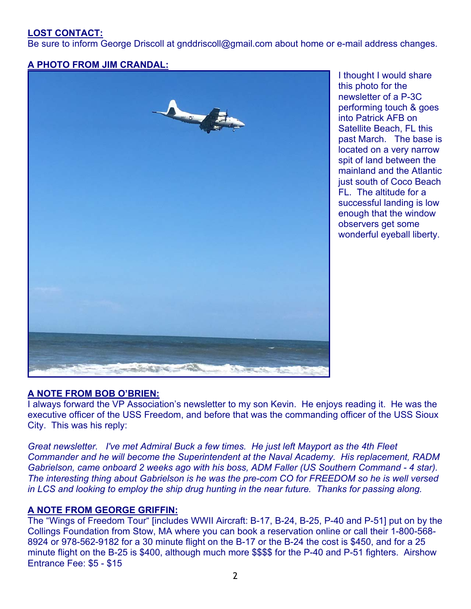# **LOST CONTACT:**

Be sure to inform George Driscoll at gnddriscoll@gmail.com about home or e-mail address changes.

### **A PHOTO FROM JIM CRANDAL:**



I thought I would share this photo for the newsletter of a P-3C performing touch & goes into Patrick AFB on Satellite Beach, FL this past March. The base is located on a very narrow spit of land between the mainland and the Atlantic just south of Coco Beach FL. The altitude for a successful landing is low enough that the window observers get some wonderful eyeball liberty.

#### **A NOTE FROM BOB O'BRIEN:**

I always forward the VP Association's newsletter to my son Kevin. He enjoys reading it. He was the executive officer of the USS Freedom, and before that was the commanding officer of the USS Sioux City. This was his reply:

*Great newsletter. I've met Admiral Buck a few times. He just left Mayport as the 4th Fleet Commander and he will become the Superintendent at the Naval Academy. His replacement, RADM Gabrielson, came onboard 2 weeks ago with his boss, ADM Faller (US Southern Command - 4 star). The interesting thing about Gabrielson is he was the pre-com CO for FREEDOM so he is well versed in LCS and looking to employ the ship drug hunting in the near future. Thanks for passing along.* 

#### **A NOTE FROM GEORGE GRIFFIN:**

The "Wings of Freedom Tour" [includes WWII Aircraft: B-17, B-24, B-25, P-40 and P-51] put on by the Collings Foundation from Stow, MA where you can book a reservation online or call their 1-800-568- 8924 or 978-562-9182 for a 30 minute flight on the B-17 or the B-24 the cost is \$450, and for a 25 minute flight on the B-25 is \$400, although much more \$\$\$\$ for the P-40 and P-51 fighters. Airshow Entrance Fee: \$5 - \$15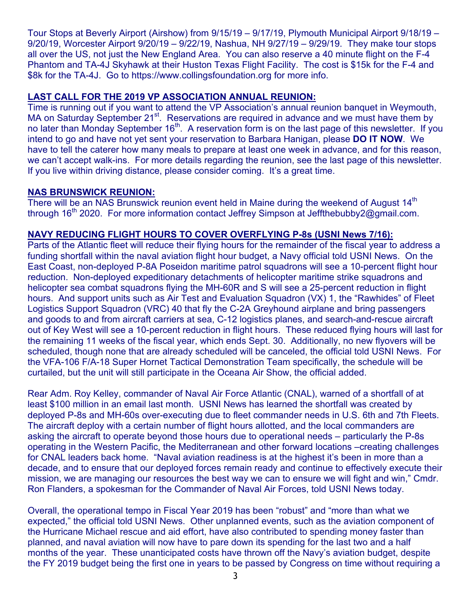Tour Stops at Beverly Airport (Airshow) from 9/15/19 – 9/17/19, Plymouth Municipal Airport 9/18/19 – 9/20/19, Worcester Airport 9/20/19 – 9/22/19, Nashua, NH 9/27/19 – 9/29/19. They make tour stops all over the US, not just the New England Area. You can also reserve a 40 minute flight on the F-4 Phantom and TA-4J Skyhawk at their Huston Texas Flight Facility. The cost is \$15k for the F-4 and \$8k for the TA-4J. Go to https://www.collingsfoundation.org for more info.

#### **LAST CALL FOR THE 2019 VP ASSOCIATION ANNUAL REUNION:**

Time is running out if you want to attend the VP Association's annual reunion banquet in Weymouth, MA on Saturday September 21<sup>st</sup>. Reservations are required in advance and we must have them by no later than Monday September 16<sup>th</sup>. A reservation form is on the last page of this newsletter. If you intend to go and have not yet sent your reservation to Barbara Hanigan, please **DO IT NOW**. We have to tell the caterer how many meals to prepare at least one week in advance, and for this reason, we can't accept walk-ins. For more details regarding the reunion, see the last page of this newsletter. If you live within driving distance, please consider coming. It's a great time.

#### **NAS BRUNSWICK REUNION:**

There will be an NAS Brunswick reunion event held in Maine during the weekend of August 14<sup>th</sup> through 16<sup>th</sup> 2020. For more information contact Jeffrey Simpson at Jeffthebubby2@gmail.com.

#### **NAVY REDUCING FLIGHT HOURS TO COVER OVERFLYING P-8s (USNI News 7/16):**

Parts of the Atlantic fleet will reduce their flying hours for the remainder of the fiscal year to address a funding shortfall within the naval aviation flight hour budget, a Navy official told USNI News. On the East Coast, non-deployed P-8A Poseidon maritime patrol squadrons will see a 10-percent flight hour reduction. Non-deployed expeditionary detachments of helicopter maritime strike squadrons and helicopter sea combat squadrons flying the MH-60R and S will see a 25-percent reduction in flight hours. And support units such as Air Test and Evaluation Squadron (VX) 1, the "Rawhides" of Fleet Logistics Support Squadron (VRC) 40 that fly the C-2A Greyhound airplane and bring passengers and goods to and from aircraft carriers at sea, C-12 logistics planes, and search-and-rescue aircraft out of Key West will see a 10-percent reduction in flight hours. These reduced flying hours will last for the remaining 11 weeks of the fiscal year, which ends Sept. 30. Additionally, no new flyovers will be scheduled, though none that are already scheduled will be canceled, the official told USNI News. For the VFA-106 F/A-18 Super Hornet Tactical Demonstration Team specifically, the schedule will be curtailed, but the unit will still participate in the Oceana Air Show, the official added.

Rear Adm. Roy Kelley, commander of Naval Air Force Atlantic (CNAL), warned of a shortfall of at least \$100 million in an email last month. USNI News has learned the shortfall was created by deployed P-8s and MH-60s over-executing due to fleet commander needs in U.S. 6th and 7th Fleets. The aircraft deploy with a certain number of flight hours allotted, and the local commanders are asking the aircraft to operate beyond those hours due to operational needs – particularly the P-8s operating in the Western Pacific, the Mediterranean and other forward locations –creating challenges for CNAL leaders back home. "Naval aviation readiness is at the highest it's been in more than a decade, and to ensure that our deployed forces remain ready and continue to effectively execute their mission, we are managing our resources the best way we can to ensure we will fight and win," Cmdr. Ron Flanders, a spokesman for the Commander of Naval Air Forces, told USNI News today.

Overall, the operational tempo in Fiscal Year 2019 has been "robust" and "more than what we expected," the official told USNI News. Other unplanned events, such as the aviation component of the Hurricane Michael rescue and aid effort, have also contributed to spending money faster than planned, and naval aviation will now have to pare down its spending for the last two and a half months of the year. These unanticipated costs have thrown off the Navy's aviation budget, despite the FY 2019 budget being the first one in years to be passed by Congress on time without requiring a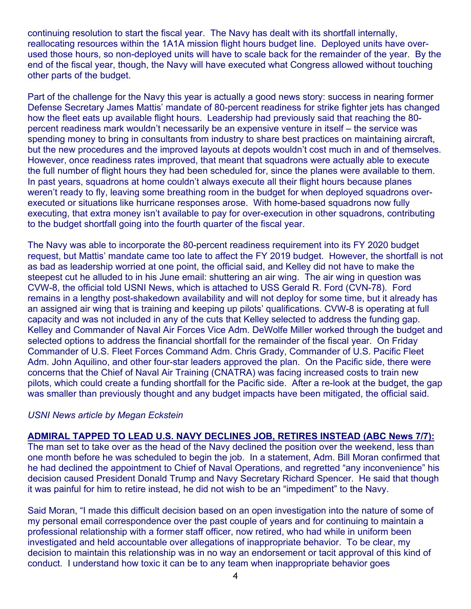continuing resolution to start the fiscal year. The Navy has dealt with its shortfall internally, reallocating resources within the 1A1A mission flight hours budget line. Deployed units have overused those hours, so non-deployed units will have to scale back for the remainder of the year. By the end of the fiscal year, though, the Navy will have executed what Congress allowed without touching other parts of the budget.

Part of the challenge for the Navy this year is actually a good news story: success in nearing former Defense Secretary James Mattis' mandate of 80-percent readiness for strike fighter jets has changed how the fleet eats up available flight hours. Leadership had previously said that reaching the 80 percent readiness mark wouldn't necessarily be an expensive venture in itself – the service was spending money to bring in consultants from industry to share best practices on maintaining aircraft, but the new procedures and the improved layouts at depots wouldn't cost much in and of themselves. However, once readiness rates improved, that meant that squadrons were actually able to execute the full number of flight hours they had been scheduled for, since the planes were available to them. In past years, squadrons at home couldn't always execute all their flight hours because planes weren't ready to fly, leaving some breathing room in the budget for when deployed squadrons overexecuted or situations like hurricane responses arose. With home-based squadrons now fully executing, that extra money isn't available to pay for over-execution in other squadrons, contributing to the budget shortfall going into the fourth quarter of the fiscal year.

The Navy was able to incorporate the 80-percent readiness requirement into its FY 2020 budget request, but Mattis' mandate came too late to affect the FY 2019 budget. However, the shortfall is not as bad as leadership worried at one point, the official said, and Kelley did not have to make the steepest cut he alluded to in his June email: shuttering an air wing. The air wing in question was CVW-8, the official told USNI News, which is attached to USS Gerald R. Ford (CVN-78). Ford remains in a lengthy post-shakedown availability and will not deploy for some time, but it already has an assigned air wing that is training and keeping up pilots' qualifications. CVW-8 is operating at full capacity and was not included in any of the cuts that Kelley selected to address the funding gap. Kelley and Commander of Naval Air Forces Vice Adm. DeWolfe Miller worked through the budget and selected options to address the financial shortfall for the remainder of the fiscal year. On Friday Commander of U.S. Fleet Forces Command Adm. Chris Grady, Commander of U.S. Pacific Fleet Adm. John Aquilino, and other four-star leaders approved the plan. On the Pacific side, there were concerns that the Chief of Naval Air Training (CNATRA) was facing increased costs to train new pilots, which could create a funding shortfall for the Pacific side. After a re-look at the budget, the gap was smaller than previously thought and any budget impacts have been mitigated, the official said.

#### *USNI News article by Megan Eckstein*

#### **ADMIRAL TAPPED TO LEAD U.S. NAVY DECLINES JOB, RETIRES INSTEAD (ABC News 7/7):**

The man set to take over as the head of the Navy declined the position over the weekend, less than one month before he was scheduled to begin the job. In a statement, Adm. Bill Moran confirmed that he had declined the appointment to Chief of Naval Operations, and regretted "any inconvenience" his decision caused President Donald Trump and Navy Secretary Richard Spencer. He said that though it was painful for him to retire instead, he did not wish to be an "impediment" to the Navy.

Said Moran, "I made this difficult decision based on an open investigation into the nature of some of my personal email correspondence over the past couple of years and for continuing to maintain a professional relationship with a former staff officer, now retired, who had while in uniform been investigated and held accountable over allegations of inappropriate behavior. To be clear, my decision to maintain this relationship was in no way an endorsement or tacit approval of this kind of conduct. I understand how toxic it can be to any team when inappropriate behavior goes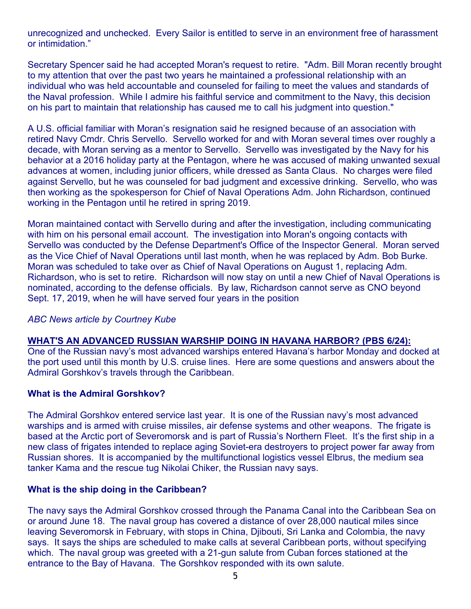unrecognized and unchecked. Every Sailor is entitled to serve in an environment free of harassment or intimidation."

Secretary Spencer said he had accepted Moran's request to retire. "Adm. Bill Moran recently brought to my attention that over the past two years he maintained a professional relationship with an individual who was held accountable and counseled for failing to meet the values and standards of the Naval profession. While I admire his faithful service and commitment to the Navy, this decision on his part to maintain that relationship has caused me to call his judgment into question."

A U.S. official familiar with Moran's resignation said he resigned because of an association with retired Navy Cmdr. Chris Servello. Servello worked for and with Moran several times over roughly a decade, with Moran serving as a mentor to Servello. Servello was investigated by the Navy for his behavior at a 2016 holiday party at the Pentagon, where he was accused of making unwanted sexual advances at women, including junior officers, while dressed as Santa Claus. No charges were filed against Servello, but he was counseled for bad judgment and excessive drinking. Servello, who was then working as the spokesperson for Chief of Naval Operations Adm. John Richardson, continued working in the Pentagon until he retired in spring 2019.

Moran maintained contact with Servello during and after the investigation, including communicating with him on his personal email account. The investigation into Moran's ongoing contacts with Servello was conducted by the Defense Department's Office of the Inspector General. Moran served as the Vice Chief of Naval Operations until last month, when he was replaced by Adm. Bob Burke. Moran was scheduled to take over as Chief of Naval Operations on August 1, replacing Adm. Richardson, who is set to retire. Richardson will now stay on until a new Chief of Naval Operations is nominated, according to the defense officials. By law, Richardson cannot serve as CNO beyond Sept. 17, 2019, when he will have served four years in the position

#### *ABC News article by Courtney Kube*

#### **WHAT'S AN ADVANCED RUSSIAN WARSHIP DOING IN HAVANA HARBOR? (PBS 6/24):**

One of the Russian navy's most advanced warships entered Havana's harbor Monday and docked at the port used until this month by U.S. cruise lines. Here are some questions and answers about the Admiral Gorshkov's travels through the Caribbean.

#### **What is the Admiral Gorshkov?**

The Admiral Gorshkov entered service last year. It is one of the Russian navy's most advanced warships and is armed with cruise missiles, air defense systems and other weapons. The frigate is based at the Arctic port of Severomorsk and is part of Russia's Northern Fleet. It's the first ship in a new class of frigates intended to replace aging Soviet-era destroyers to project power far away from Russian shores. It is accompanied by the multifunctional logistics vessel Elbrus, the medium sea tanker Kama and the rescue tug Nikolai Chiker, the Russian navy says.

#### **What is the ship doing in the Caribbean?**

The navy says the Admiral Gorshkov crossed through the Panama Canal into the Caribbean Sea on or around June 18. The naval group has covered a distance of over 28,000 nautical miles since leaving Severomorsk in February, with stops in China, Djibouti, Sri Lanka and Colombia, the navy says. It says the ships are scheduled to make calls at several Caribbean ports, without specifying which. The naval group was greeted with a 21-gun salute from Cuban forces stationed at the entrance to the Bay of Havana. The Gorshkov responded with its own salute.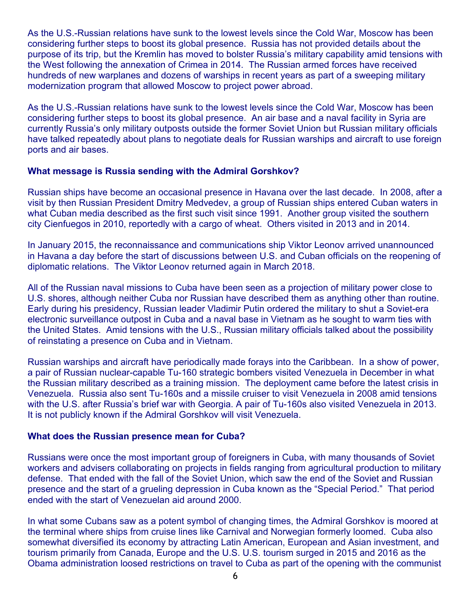As the U.S.-Russian relations have sunk to the lowest levels since the Cold War, Moscow has been considering further steps to boost its global presence. Russia has not provided details about the purpose of its trip, but the Kremlin has moved to bolster Russia's military capability amid tensions with the West following the annexation of Crimea in 2014. The Russian armed forces have received hundreds of new warplanes and dozens of warships in recent years as part of a sweeping military modernization program that allowed Moscow to project power abroad.

As the U.S.-Russian relations have sunk to the lowest levels since the Cold War, Moscow has been considering further steps to boost its global presence. An air base and a naval facility in Syria are currently Russia's only military outposts outside the former Soviet Union but Russian military officials have talked repeatedly about plans to negotiate deals for Russian warships and aircraft to use foreign ports and air bases.

#### **What message is Russia sending with the Admiral Gorshkov?**

Russian ships have become an occasional presence in Havana over the last decade. In 2008, after a visit by then Russian President Dmitry Medvedev, a group of Russian ships entered Cuban waters in what Cuban media described as the first such visit since 1991. Another group visited the southern city Cienfuegos in 2010, reportedly with a cargo of wheat. Others visited in 2013 and in 2014.

In January 2015, the reconnaissance and communications ship Viktor Leonov arrived unannounced in Havana a day before the start of discussions between U.S. and Cuban officials on the reopening of diplomatic relations. The Viktor Leonov returned again in March 2018.

All of the Russian naval missions to Cuba have been seen as a projection of military power close to U.S. shores, although neither Cuba nor Russian have described them as anything other than routine. Early during his presidency, Russian leader Vladimir Putin ordered the military to shut a Soviet-era electronic surveillance outpost in Cuba and a naval base in Vietnam as he sought to warm ties with the United States. Amid tensions with the U.S., Russian military officials talked about the possibility of reinstating a presence on Cuba and in Vietnam.

Russian warships and aircraft have periodically made forays into the Caribbean. In a show of power, a pair of Russian nuclear-capable Tu-160 strategic bombers visited Venezuela in December in what the Russian military described as a training mission. The deployment came before the latest crisis in Venezuela. Russia also sent Tu-160s and a missile cruiser to visit Venezuela in 2008 amid tensions with the U.S. after Russia's brief war with Georgia. A pair of Tu-160s also visited Venezuela in 2013. It is not publicly known if the Admiral Gorshkov will visit Venezuela.

#### **What does the Russian presence mean for Cuba?**

Russians were once the most important group of foreigners in Cuba, with many thousands of Soviet workers and advisers collaborating on projects in fields ranging from agricultural production to military defense. That ended with the fall of the Soviet Union, which saw the end of the Soviet and Russian presence and the start of a grueling depression in Cuba known as the "Special Period." That period ended with the start of Venezuelan aid around 2000.

In what some Cubans saw as a potent symbol of changing times, the Admiral Gorshkov is moored at the terminal where ships from cruise lines like Carnival and Norwegian formerly loomed. Cuba also somewhat diversified its economy by attracting Latin American, European and Asian investment, and tourism primarily from Canada, Europe and the U.S. U.S. tourism surged in 2015 and 2016 as the Obama administration loosed restrictions on travel to Cuba as part of the opening with the communist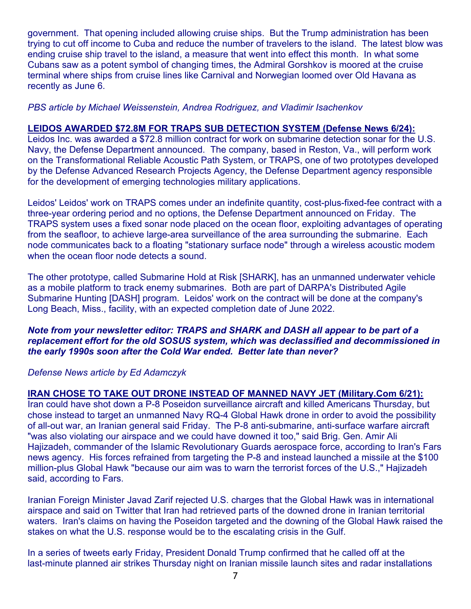government. That opening included allowing cruise ships. But the Trump administration has been trying to cut off income to Cuba and reduce the number of travelers to the island. The latest blow was ending cruise ship travel to the island, a measure that went into effect this month. In what some Cubans saw as a potent symbol of changing times, the Admiral Gorshkov is moored at the cruise terminal where ships from cruise lines like Carnival and Norwegian loomed over Old Havana as recently as June 6.

#### *PBS article by Michael Weissenstein, Andrea Rodriguez, and Vladimir Isachenkov*

#### **LEIDOS AWARDED \$72.8M FOR TRAPS SUB DETECTION SYSTEM (Defense News 6/24):**

Leidos Inc. was awarded a \$72.8 million contract for work on submarine detection sonar for the U.S. Navy, the Defense Department announced. The company, based in Reston, Va., will perform work on the Transformational Reliable Acoustic Path System, or TRAPS, one of two prototypes developed by the Defense Advanced Research Projects Agency, the Defense Department agency responsible for the development of emerging technologies military applications.

Leidos' Leidos' work on TRAPS comes under an indefinite quantity, cost-plus-fixed-fee contract with a three-year ordering period and no options, the Defense Department announced on Friday. The TRAPS system uses a fixed sonar node placed on the ocean floor, exploiting advantages of operating from the seafloor, to achieve large-area surveillance of the area surrounding the submarine. Each node communicates back to a floating "stationary surface node" through a wireless acoustic modem when the ocean floor node detects a sound.

The other prototype, called Submarine Hold at Risk [SHARK], has an unmanned underwater vehicle as a mobile platform to track enemy submarines. Both are part of DARPA's Distributed Agile Submarine Hunting [DASH] program. Leidos' work on the contract will be done at the company's Long Beach, Miss., facility, with an expected completion date of June 2022.

#### *Note from your newsletter editor: TRAPS and SHARK and DASH all appear to be part of a replacement effort for the old SOSUS system, which was declassified and decommissioned in the early 1990s soon after the Cold War ended. Better late than never?*

#### *Defense News article by Ed Adamczyk*

#### **IRAN CHOSE TO TAKE OUT DRONE INSTEAD OF MANNED NAVY JET (Military.Com 6/21):**

Iran could have shot down a P-8 Poseidon surveillance aircraft and killed Americans Thursday, but chose instead to target an unmanned Navy RQ-4 Global Hawk drone in order to avoid the possibility of all-out war, an Iranian general said Friday. The P-8 anti-submarine, anti-surface warfare aircraft "was also violating our airspace and we could have downed it too," said Brig. Gen. Amir Ali Hajizadeh, commander of the Islamic Revolutionary Guards aerospace force, according to Iran's Fars news agency. His forces refrained from targeting the P-8 and instead launched a missile at the \$100 million-plus Global Hawk "because our aim was to warn the terrorist forces of the U.S.," Hajizadeh said, according to Fars.

Iranian Foreign Minister Javad Zarif rejected U.S. charges that the Global Hawk was in international airspace and said on Twitter that Iran had retrieved parts of the downed drone in Iranian territorial waters. Iran's claims on having the Poseidon targeted and the downing of the Global Hawk raised the stakes on what the U.S. response would be to the escalating crisis in the Gulf.

In a series of tweets early Friday, President Donald Trump confirmed that he called off at the last-minute planned air strikes Thursday night on Iranian missile launch sites and radar installations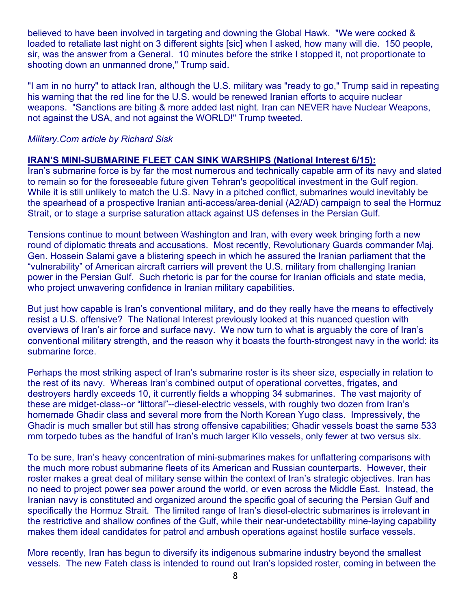believed to have been involved in targeting and downing the Global Hawk. "We were cocked & loaded to retaliate last night on 3 different sights [sic] when I asked, how many will die. 150 people, sir, was the answer from a General. 10 minutes before the strike I stopped it, not proportionate to shooting down an unmanned drone," Trump said.

"I am in no hurry" to attack Iran, although the U.S. military was "ready to go," Trump said in repeating his warning that the red line for the U.S. would be renewed Iranian efforts to acquire nuclear weapons. "Sanctions are biting & more added last night. Iran can NEVER have Nuclear Weapons, not against the USA, and not against the WORLD!" Trump tweeted.

#### *Military.Com article by Richard Sisk*

#### **IRAN'S MINI-SUBMARINE FLEET CAN SINK WARSHIPS (National Interest 6/15):**

Iran's submarine force is by far the most numerous and technically capable arm of its navy and slated to remain so for the foreseeable future given Tehran's geopolitical investment in the Gulf region. While it is still unlikely to match the U.S. Navy in a pitched conflict, submarines would inevitably be the spearhead of a prospective Iranian anti-access/area-denial (A2/AD) campaign to seal the Hormuz Strait, or to stage a surprise saturation attack against US defenses in the Persian Gulf.

Tensions continue to mount between Washington and Iran, with every week bringing forth a new round of diplomatic threats and accusations. Most recently, Revolutionary Guards commander Maj. Gen. Hossein Salami gave a blistering speech in which he assured the Iranian parliament that the "vulnerability" of American aircraft carriers will prevent the U.S. military from challenging Iranian power in the Persian Gulf. Such rhetoric is par for the course for Iranian officials and state media, who project unwavering confidence in Iranian military capabilities.

But just how capable is Iran's conventional military, and do they really have the means to effectively resist a U.S. offensive? The National Interest previously looked at this nuanced question with overviews of Iran's air force and surface navy. We now turn to what is arguably the core of Iran's conventional military strength, and the reason why it boasts the fourth-strongest navy in the world: its submarine force.

Perhaps the most striking aspect of Iran's submarine roster is its sheer size, especially in relation to the rest of its navy. Whereas Iran's combined output of operational corvettes, frigates, and destroyers hardly exceeds 10, it currently fields a whopping 34 submarines. The vast majority of these are midget-class--or "littoral"--diesel-electric vessels, with roughly two dozen from Iran's homemade Ghadir class and several more from the North Korean Yugo class. Impressively, the Ghadir is much smaller but still has strong offensive capabilities; Ghadir vessels boast the same 533 mm torpedo tubes as the handful of Iran's much larger Kilo vessels, only fewer at two versus six.

To be sure, Iran's heavy concentration of mini-submarines makes for unflattering comparisons with the much more robust submarine fleets of its American and Russian counterparts. However, their roster makes a great deal of military sense within the context of Iran's strategic objectives. Iran has no need to project power sea power around the world, or even across the Middle East. Instead, the Iranian navy is constituted and organized around the specific goal of securing the Persian Gulf and specifically the Hormuz Strait. The limited range of Iran's diesel-electric submarines is irrelevant in the restrictive and shallow confines of the Gulf, while their near-undetectability mine-laying capability makes them ideal candidates for patrol and ambush operations against hostile surface vessels.

More recently, Iran has begun to diversify its indigenous submarine industry beyond the smallest vessels. The new Fateh class is intended to round out Iran's lopsided roster, coming in between the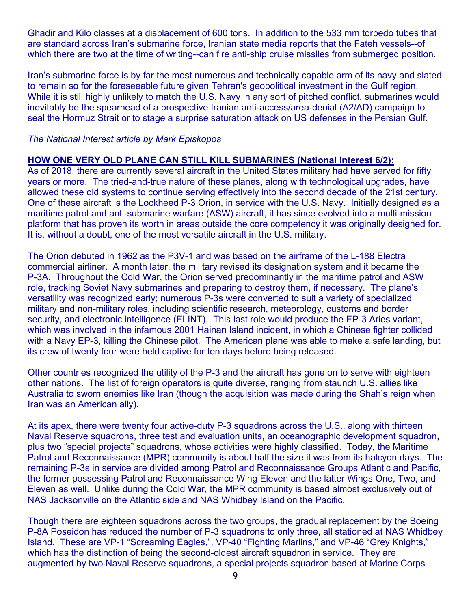Ghadir and Kilo classes at a displacement of 600 tons. In addition to the 533 mm torpedo tubes that are standard across Iran's submarine force, Iranian state media reports that the Fateh vessels--of which there are two at the time of writing--can fire anti-ship cruise missiles from submerged position.

Iran's submarine force is by far the most numerous and technically capable arm of its navy and slated to remain so for the foreseeable future given Tehran's geopolitical investment in the Gulf region. While it is still highly unlikely to match the U.S. Navy in any sort of pitched conflict, submarines would inevitably be the spearhead of a prospective Iranian anti-access/area-denial (A2/AD) campaign to seal the Hormuz Strait or to stage a surprise saturation attack on US defenses in the Persian Gulf.

#### *The National Interest article by Mark Episkopos*

#### **HOW ONE VERY OLD PLANE CAN STILL KILL SUBMARINES (National Interest 6/2):**

As of 2018, there are currently several aircraft in the United States military had have served for fifty years or more. The tried-and-true nature of these planes, along with technological upgrades, have allowed these old systems to continue serving effectively into the second decade of the 21st century. One of these aircraft is the Lockheed P-3 Orion, in service with the U.S. Navy. Initially designed as a maritime patrol and anti-submarine warfare (ASW) aircraft, it has since evolved into a multi-mission platform that has proven its worth in areas outside the core competency it was originally designed for. It is, without a doubt, one of the most versatile aircraft in the U.S. military.

The Orion debuted in 1962 as the P3V-1 and was based on the airframe of the L-188 Electra commercial airliner. A month later, the military revised its designation system and it became the P-3A. Throughout the Cold War, the Orion served predominantly in the maritime patrol and ASW role, tracking Soviet Navy submarines and preparing to destroy them, if necessary. The plane's versatility was recognized early; numerous P-3s were converted to suit a variety of specialized military and non-military roles, including scientific research, meteorology, customs and border security, and electronic intelligence (ELINT). This last role would produce the EP-3 Aries variant, which was involved in the infamous 2001 Hainan Island incident, in which a Chinese fighter collided with a Navy EP-3, killing the Chinese pilot. The American plane was able to make a safe landing, but its crew of twenty four were held captive for ten days before being released.

Other countries recognized the utility of the P-3 and the aircraft has gone on to serve with eighteen other nations. The list of foreign operators is quite diverse, ranging from staunch U.S. allies like Australia to sworn enemies like Iran (though the acquisition was made during the Shah's reign when Iran was an American ally).

At its apex, there were twenty four active-duty P-3 squadrons across the U.S., along with thirteen Naval Reserve squadrons, three test and evaluation units, an oceanographic development squadron, plus two "special projects" squadrons, whose activities were highly classified. Today, the Maritime Patrol and Reconnaissance (MPR) community is about half the size it was from its halcyon days. The remaining P-3s in service are divided among Patrol and Reconnaissance Groups Atlantic and Pacific, the former possessing Patrol and Reconnaissance Wing Eleven and the latter Wings One, Two, and Eleven as well. Unlike during the Cold War, the MPR community is based almost exclusively out of NAS Jacksonville on the Atlantic side and NAS Whidbey Island on the Pacific.

Though there are eighteen squadrons across the two groups, the gradual replacement by the Boeing P-8A Poseidon has reduced the number of P-3 squadrons to only three, all stationed at NAS Whidbey Island. These are VP-1 "Screaming Eagles,", VP-40 "Fighting Marlins," and VP-46 "Grey Knights," which has the distinction of being the second-oldest aircraft squadron in service. They are augmented by two Naval Reserve squadrons, a special projects squadron based at Marine Corps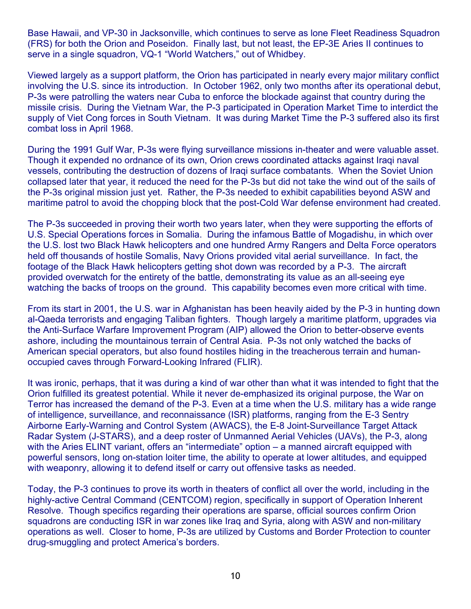Base Hawaii, and VP-30 in Jacksonville, which continues to serve as lone Fleet Readiness Squadron (FRS) for both the Orion and Poseidon. Finally last, but not least, the EP-3E Aries II continues to serve in a single squadron, VQ-1 "World Watchers," out of Whidbey.

Viewed largely as a support platform, the Orion has participated in nearly every major military conflict involving the U.S. since its introduction. In October 1962, only two months after its operational debut, P-3s were patrolling the waters near Cuba to enforce the blockade against that country during the missile crisis. During the Vietnam War, the P-3 participated in Operation Market Time to interdict the supply of Viet Cong forces in South Vietnam. It was during Market Time the P-3 suffered also its first combat loss in April 1968.

During the 1991 Gulf War, P-3s were flying surveillance missions in-theater and were valuable asset. Though it expended no ordnance of its own, Orion crews coordinated attacks against Iraqi naval vessels, contributing the destruction of dozens of Iraqi surface combatants. When the Soviet Union collapsed later that year, it reduced the need for the P-3s but did not take the wind out of the sails of the P-3s original mission just yet. Rather, the P-3s needed to exhibit capabilities beyond ASW and maritime patrol to avoid the chopping block that the post-Cold War defense environment had created.

The P-3s succeeded in proving their worth two years later, when they were supporting the efforts of U.S. Special Operations forces in Somalia. During the infamous Battle of Mogadishu, in which over the U.S. lost two Black Hawk helicopters and one hundred Army Rangers and Delta Force operators held off thousands of hostile Somalis, Navy Orions provided vital aerial surveillance. In fact, the footage of the Black Hawk helicopters getting shot down was recorded by a P-3. The aircraft provided overwatch for the entirety of the battle, demonstrating its value as an all-seeing eye watching the backs of troops on the ground. This capability becomes even more critical with time.

From its start in 2001, the U.S. war in Afghanistan has been heavily aided by the P-3 in hunting down al-Qaeda terrorists and engaging Taliban fighters. Though largely a maritime platform, upgrades via the Anti-Surface Warfare Improvement Program (AIP) allowed the Orion to better-observe events ashore, including the mountainous terrain of Central Asia. P-3s not only watched the backs of American special operators, but also found hostiles hiding in the treacherous terrain and humanoccupied caves through Forward-Looking Infrared (FLIR).

It was ironic, perhaps, that it was during a kind of war other than what it was intended to fight that the Orion fulfilled its greatest potential. While it never de-emphasized its original purpose, the War on Terror has increased the demand of the P-3. Even at a time when the U.S. military has a wide range of intelligence, surveillance, and reconnaissance (ISR) platforms, ranging from the E-3 Sentry Airborne Early-Warning and Control System (AWACS), the E-8 Joint-Surveillance Target Attack Radar System (J-STARS), and a deep roster of Unmanned Aerial Vehicles (UAVs), the P-3, along with the Aries ELINT variant, offers an "intermediate" option – a manned aircraft equipped with powerful sensors, long on-station loiter time, the ability to operate at lower altitudes, and equipped with weaponry, allowing it to defend itself or carry out offensive tasks as needed.

Today, the P-3 continues to prove its worth in theaters of conflict all over the world, including in the highly-active Central Command (CENTCOM) region, specifically in support of Operation Inherent Resolve. Though specifics regarding their operations are sparse, official sources confirm Orion squadrons are conducting ISR in war zones like Iraq and Syria, along with ASW and non-military operations as well. Closer to home, P-3s are utilized by Customs and Border Protection to counter drug-smuggling and protect America's borders.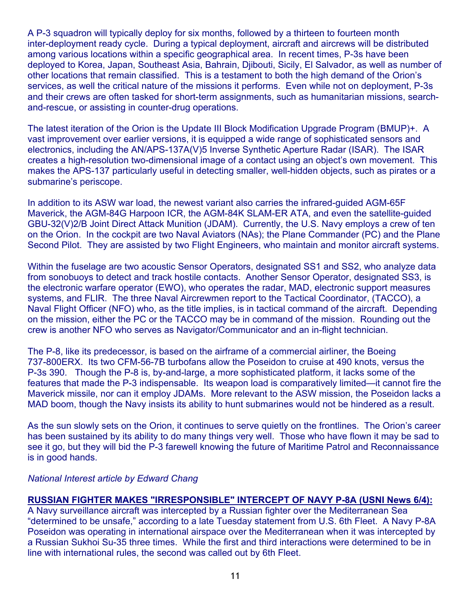A P-3 squadron will typically deploy for six months, followed by a thirteen to fourteen month inter-deployment ready cycle. During a typical deployment, aircraft and aircrews will be distributed among various locations within a specific geographical area. In recent times, P-3s have been deployed to Korea, Japan, Southeast Asia, Bahrain, Djibouti, Sicily, El Salvador, as well as number of other locations that remain classified. This is a testament to both the high demand of the Orion's services, as well the critical nature of the missions it performs. Even while not on deployment, P-3s and their crews are often tasked for short-term assignments, such as humanitarian missions, searchand-rescue, or assisting in counter-drug operations.

The latest iteration of the Orion is the Update III Block Modification Upgrade Program (BMUP)+. A vast improvement over earlier versions, it is equipped a wide range of sophisticated sensors and electronics, including the AN/APS-137A(V)5 Inverse Synthetic Aperture Radar (ISAR). The ISAR creates a high-resolution two-dimensional image of a contact using an object's own movement. This makes the APS-137 particularly useful in detecting smaller, well-hidden objects, such as pirates or a submarine's periscope.

In addition to its ASW war load, the newest variant also carries the infrared-guided AGM-65F Maverick, the AGM-84G Harpoon ICR, the AGM-84K SLAM-ER ATA, and even the satellite-guided GBU-32(V)2/B Joint Direct Attack Munition (JDAM). Currently, the U.S. Navy employs a crew of ten on the Orion. In the cockpit are two Naval Aviators (NAs); the Plane Commander (PC) and the Plane Second Pilot. They are assisted by two Flight Engineers, who maintain and monitor aircraft systems.

Within the fuselage are two acoustic Sensor Operators, designated SS1 and SS2, who analyze data from sonobuoys to detect and track hostile contacts. Another Sensor Operator, designated SS3, is the electronic warfare operator (EWO), who operates the radar, MAD, electronic support measures systems, and FLIR. The three Naval Aircrewmen report to the Tactical Coordinator, (TACCO), a Naval Flight Officer (NFO) who, as the title implies, is in tactical command of the aircraft. Depending on the mission, either the PC or the TACCO may be in command of the mission. Rounding out the crew is another NFO who serves as Navigator/Communicator and an in-flight technician.

The P-8, like its predecessor, is based on the airframe of a commercial airliner, the Boeing 737-800ERX. Its two CFM-56-7B turbofans allow the Poseidon to cruise at 490 knots, versus the P-3s 390. Though the P-8 is, by-and-large, a more sophisticated platform, it lacks some of the features that made the P-3 indispensable. Its weapon load is comparatively limited—it cannot fire the Maverick missile, nor can it employ JDAMs. More relevant to the ASW mission, the Poseidon lacks a MAD boom, though the Navy insists its ability to hunt submarines would not be hindered as a result.

As the sun slowly sets on the Orion, it continues to serve quietly on the frontlines. The Orion's career has been sustained by its ability to do many things very well. Those who have flown it may be sad to see it go, but they will bid the P-3 farewell knowing the future of Maritime Patrol and Reconnaissance is in good hands.

#### *National Interest article by Edward Chang*

#### **RUSSIAN FIGHTER MAKES "IRRESPONSIBLE" INTERCEPT OF NAVY P-8A (USNI News 6/4):**

A Navy surveillance aircraft was intercepted by a Russian fighter over the Mediterranean Sea "determined to be unsafe," according to a late Tuesday statement from U.S. 6th Fleet. A Navy P-8A Poseidon was operating in international airspace over the Mediterranean when it was intercepted by a Russian Sukhoi Su-35 three times. While the first and third interactions were determined to be in line with international rules, the second was called out by 6th Fleet.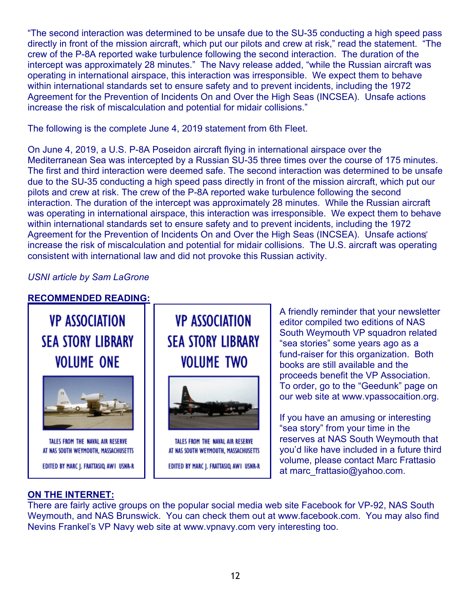"The second interaction was determined to be unsafe due to the SU-35 conducting a high speed pass directly in front of the mission aircraft, which put our pilots and crew at risk," read the statement. "The crew of the P-8A reported wake turbulence following the second interaction. The duration of the intercept was approximately 28 minutes." The Navy release added, "while the Russian aircraft was operating in international airspace, this interaction was irresponsible. We expect them to behave within international standards set to ensure safety and to prevent incidents, including the 1972 Agreement for the Prevention of Incidents On and Over the High Seas (INCSEA). Unsafe actions increase the risk of miscalculation and potential for midair collisions."

The following is the complete June 4, 2019 statement from 6th Fleet.

On June 4, 2019, a U.S. P-8A Poseidon aircraft flying in international airspace over the Mediterranean Sea was intercepted by a Russian SU-35 three times over the course of 175 minutes. The first and third interaction were deemed safe. The second interaction was determined to be unsafe due to the SU-35 conducting a high speed pass directly in front of the mission aircraft, which put our pilots and crew at risk. The crew of the P-8A reported wake turbulence following the second interaction. The duration of the intercept was approximately 28 minutes. While the Russian aircraft was operating in international airspace, this interaction was irresponsible. We expect them to behave within international standards set to ensure safety and to prevent incidents, including the 1972 Agreement for the Prevention of Incidents On and Over the High Seas (INCSEA). Unsafe actions' increase the risk of miscalculation and potential for midair collisions. The U.S. aircraft was operating consistent with international law and did not provoke this Russian activity.

*USNI article by Sam LaGrone* 

# **RECOMMENDED READING:**



#### **ON THE INTERNET:**

There are fairly active groups on the popular social media web site Facebook for VP-92, NAS South Weymouth, and NAS Brunswick. You can check them out at www.facebook.com. You may also find Nevins Frankel's VP Navy web site at www.vpnavy.com very interesting too.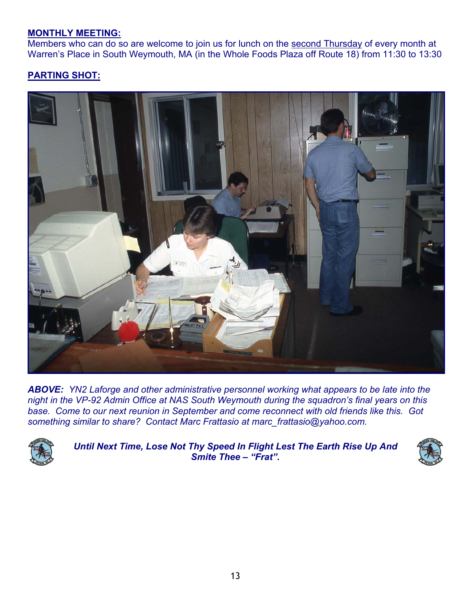#### **MONTHLY MEETING:**

Members who can do so are welcome to join us for lunch on the second Thursday of every month at Warren's Place in South Weymouth, MA (in the Whole Foods Plaza off Route 18) from 11:30 to 13:30

# **PARTING SHOT:**



*ABOVE: YN2 Laforge and other administrative personnel working what appears to be late into the night in the VP-92 Admin Office at NAS South Weymouth during the squadron's final years on this base. Come to our next reunion in September and come reconnect with old friends like this. Got something similar to share? Contact Marc Frattasio at marc\_frattasio@yahoo.com.* 



*Until Next Time, Lose Not Thy Speed In Flight Lest The Earth Rise Up And Smite Thee – "Frat".*